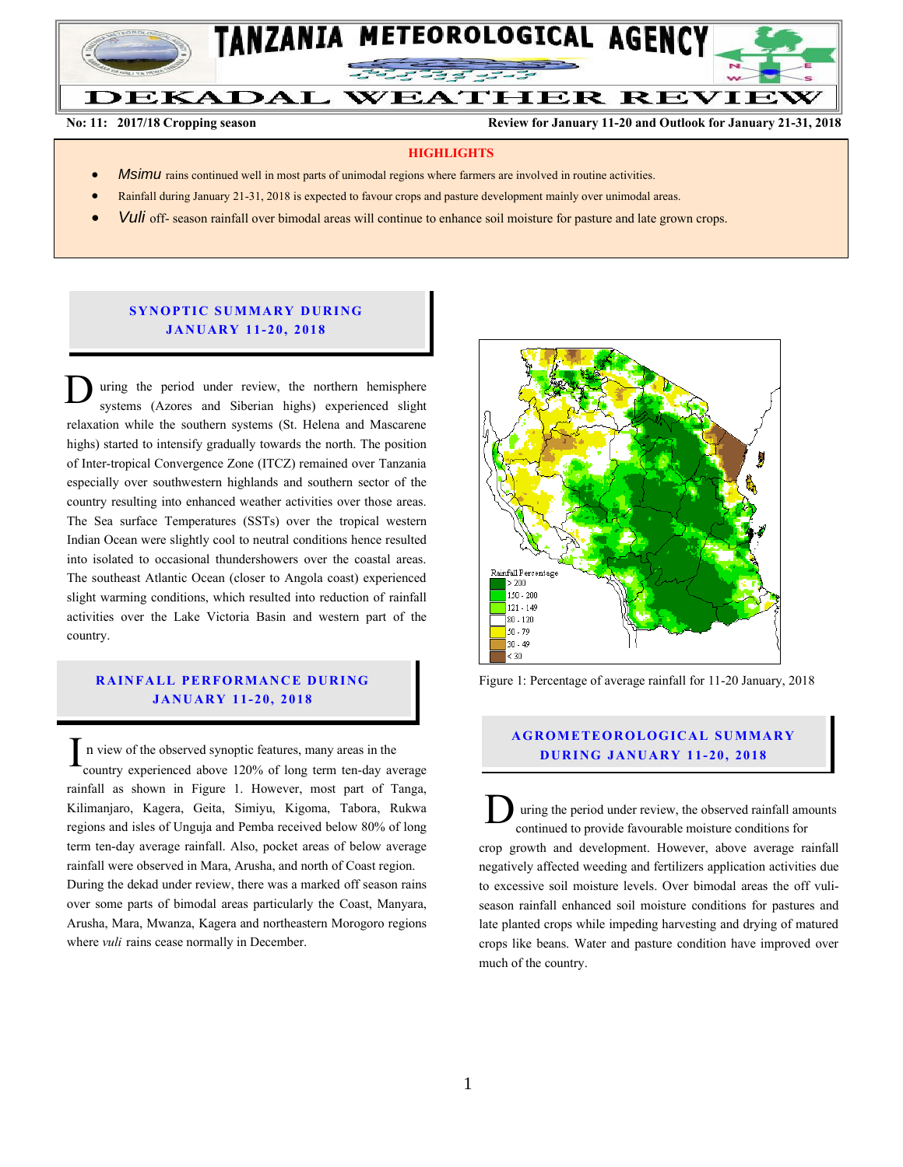

**No: 11: 2017/18 Cropping season Review for January 11-20 and Outlook for January 21-31, 2018**

#### **HIGHLIGHTS**

- *Msimu* rains continued well in most parts of unimodal regions where farmers are involved in routine activities.
- Rainfall during January 21-31, 2018 is expected to favour crops and pasture development mainly over unimodal areas.
- *Vuli* off- season rainfall over bimodal areas will continue to enhance soil moisture for pasture and late grown crops.

## **SYNOPTIC SUMMARY DURING JA NU AR Y 11- 20, 2018**

uring the period under review, the northern hemisphere systems (Azores and Siberian highs) experienced slight relaxation while the southern systems (St. Helena and Mascarene highs) started to intensify gradually towards the north. The position of Inter-tropical Convergence Zone (ITCZ) remained over Tanzania especially over southwestern highlands and southern sector of the country resulting into enhanced weather activities over those areas. The Sea surface Temperatures (SSTs) over the tropical western Indian Ocean were slightly cool to neutral conditions hence resulted into isolated to occasional thundershowers over the coastal areas. The southeast Atlantic Ocean (closer to Angola coast) experienced slight warming conditions, which resulted into reduction of rainfall activities over the Lake Victoria Basin and western part of the country. D

# **RAINFALL PERFORMANCE DURING JA NU AR Y 1 1- 20, 201 8**

n view of the observed synoptic features, many areas in the country experienced above 120% of long term ten-day average rainfall as shown in Figure 1. However, most part of Tanga, Kilimanjaro, Kagera, Geita, Simiyu, Kigoma, Tabora, Rukwa regions and isles of Unguja and Pemba received below 80% of long term ten-day average rainfall. Also, pocket areas of below average rainfall were observed in Mara, Arusha, and north of Coast region. During the dekad under review, there was a marked off season rains over some parts of bimodal areas particularly the Coast, Manyara, Arusha, Mara, Mwanza, Kagera and northeastern Morogoro regions where *vuli* rains cease normally in December. I



Figure 1: Percentage of average rainfall for 11-20 January, 2018

# **A G RO METEO R O LOG ICA L SU MMA RY D UR ING JANU AR Y 1 1- 20, 2018**

uring the period under review, the observed rainfall amounts continued to provide favourable moisture conditions for crop growth and development. However, above average rainfall negatively affected weeding and fertilizers application activities due to excessive soil moisture levels. Over bimodal areas the off vuliseason rainfall enhanced soil moisture conditions for pastures and late planted crops while impeding harvesting and drying of matured crops like beans. Water and pasture condition have improved over much of the country. D